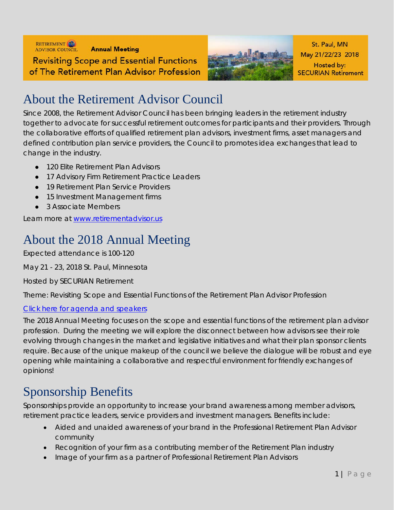



St. Paul. MN May 21/22/23 2018 Hosted by: **SECURIAN Retirement** 

### About the Retirement Advisor Council

Since 2008, the Retirement Advisor Council has been bringing leaders in the retirement industry together to advocate for successful retirement outcomes for participants and their providers. Through the collaborative efforts of qualified retirement plan advisors, investment firms, asset managers and defined contribution plan service providers, the Council to promotes idea exchanges that lead to change in the industry.

- 120 Elite Retirement Plan Advisors
- 17 Advisory Firm Retirement Practice Leaders
- 19 Retirement Plan Service Providers
- 15 Investment Management firms
- 3 Associate Members

Learn more at [www.retirementadvisor.us](http://www.retirementadvisor.us/)

## About the 2018 Annual Meeting

Expected attendance is 100-120

May 21 - 23, 2018 St. Paul, Minnesota

Hosted by SECURIAN Retirement

Theme: Revisiting Scope and Essential Functions of the Retirement Plan Advisor Profession

#### [Click here for agenda and speakers](http://www.retirementadvisor.us/meetings/434-2018-annual-meeting)

The 2018 Annual Meeting focuses on the scope and essential functions of the retirement plan advisor profession. During the meeting we will explore the disconnect between how advisors see their role evolving through changes in the market and legislative initiatives and what their plan sponsor clients require. Because of the unique makeup of the council we believe the dialogue will be robust and eye opening while maintaining a collaborative and respectful environment for friendly exchanges of opinions!

### Sponsorship Benefits

Sponsorships provide an opportunity to increase your brand awareness among member advisors, retirement practice leaders, service providers and investment managers. Benefits include:

- Aided and unaided awareness of your brand in the Professional Retirement Plan Advisor community
- Recognition of your firm as a contributing member of the Retirement Plan industry
- Image of your firm as a partner of Professional Retirement Plan Advisors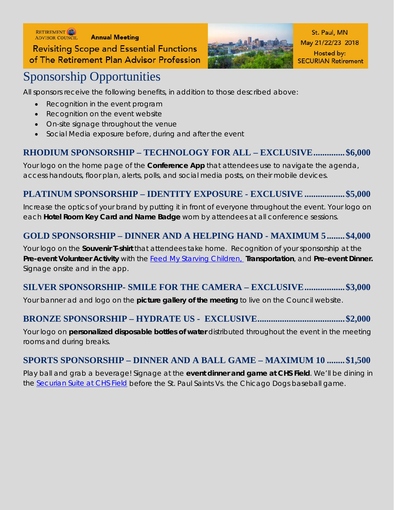RETIREMENT **Annual Meeting Revisiting Scope and Essential Functions** of The Retirement Plan Advisor Profession



St. Paul, MN May 21/22/23 2018 Hosted by: **SECURIAN Retirement** 

# Sponsorship Opportunities

All sponsors receive the following benefits, in addition to those described above:

- Recognition in the event program
- Recognition on the event website
- On-site signage throughout the venue
- Social Media exposure before, during and after the event

#### **RHODIUM SPONSORSHIP – TECHNOLOGY FOR ALL – EXCLUSIVE..............\$6,000**

Your logo on the home page of the **Conference App** that attendees use to navigate the agenda, access handouts, floor plan, alerts, polls, and social media posts, on their mobile devices.

#### **PLATINUM SPONSORSHIP – IDENTITY EXPOSURE - EXCLUSIVE ..................\$5,000**

Increase the optics of your brand by putting it in front of everyone throughout the event. Your logo on each **Hotel Room Key Card and Name Badge** worn by attendees at all conference sessions.

#### **GOLD SPONSORSHIP – DINNER AND A HELPING HAND - MAXIMUM 5........\$4,000**

Your logo on the **Souvenir T-shirt** that attendees take home. Recognition of your sponsorship at the **Pre-event Volunteer Activity** with the [Feed My Starving Children,](https://www.fmsc.org/) **Transportation**, and **Pre-event Dinner.**  Signage onsite and in the app.

#### **SILVER SPONSORSHIP- SMILE FOR THE CAMERA – EXCLUSIVE..................\$3,000**

Your banner ad and logo on the **picture gallery of the meeting** to live on the Council website.

#### **BRONZE SPONSORSHIP – HYDRATE US - EXCLUSIVE.......................................\$2,000**

Your logo on **personalized disposable bottles of water** distributed throughout the event in the meeting rooms and during breaks.

#### **SPORTS SPONSORSHIP – DINNER AND A BALL GAME – MAXIMUM 10 ........\$1,500**

Play ball and grab a beverage! Signage at the **event dinner and game at CHS Field**. We'll be dining in the [Securian Suite at CHS Field](http://chsfield.com/venue/event-spaces/corporate-events) before the St. Paul Saints Vs. the Chicago Dogs baseball game.